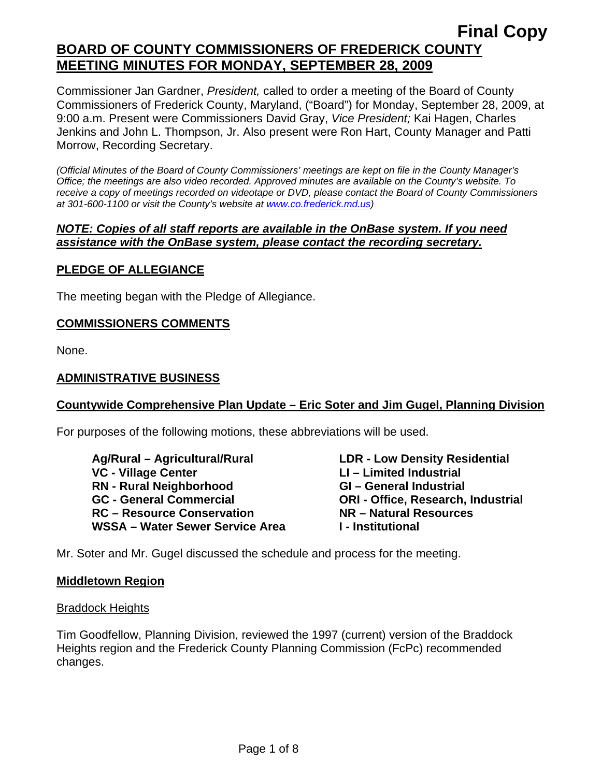Commissioner Jan Gardner, *President,* called to order a meeting of the Board of County Commissioners of Frederick County, Maryland, ("Board") for Monday, September 28, 2009, at 9:00 a.m. Present were Commissioners David Gray, *Vice President;* Kai Hagen, Charles Jenkins and John L. Thompson, Jr. Also present were Ron Hart, County Manager and Patti Morrow, Recording Secretary.

*(Official Minutes of the Board of County Commissioners' meetings are kept on file in the County Manager's Office; the meetings are also video recorded. Approved minutes are available on the County's website. To receive a copy of meetings recorded on videotape or DVD, please contact the Board of County Commissioners at 301-600-1100 or visit the County's website at [www.co.frederick.md.us\)](http://www.co.frederick.md.us/)* 

### *NOTE: Copies of all staff reports are available in the OnBase system. If you need assistance with the OnBase system, please contact the recording secretary.*

## **PLEDGE OF ALLEGIANCE**

The meeting began with the Pledge of Allegiance.

## **COMMISSIONERS COMMENTS**

None.

### **ADMINISTRATIVE BUSINESS**

### **Countywide Comprehensive Plan Update – Eric Soter and Jim Gugel, Planning Division**

For purposes of the following motions, these abbreviations will be used.

 **Ag/Rural – Agricultural/Rural LDR - Low Density Residential VC - Village Center LI – Limited Industrial RN - Rural Neighborhood GI – General Industrial GC - General Commercial ORI - Office, Research, Industrial RC – Resource Conservation NR – Natural Resources**  WSSA – Water Sewer Service Area **I** - Institutional

Mr. Soter and Mr. Gugel discussed the schedule and process for the meeting.

### **Middletown Region**

### Braddock Heights

Tim Goodfellow, Planning Division, reviewed the 1997 (current) version of the Braddock Heights region and the Frederick County Planning Commission (FcPc) recommended changes.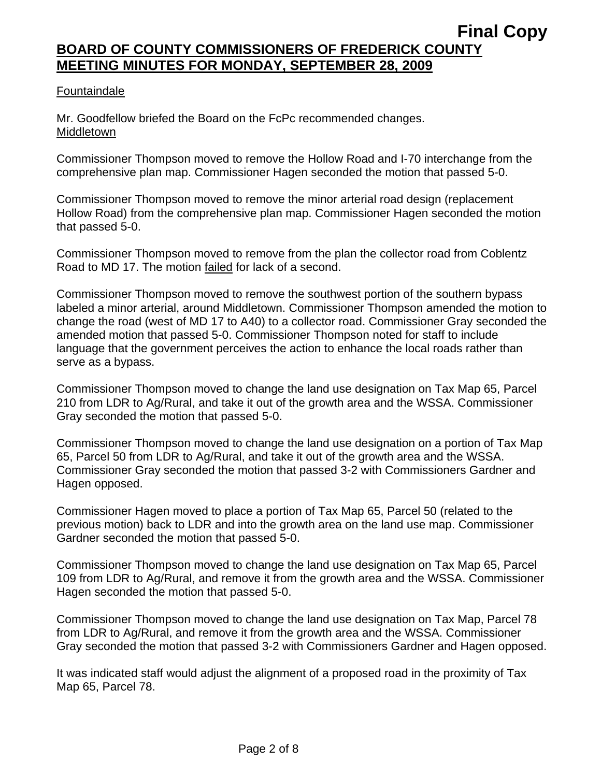## Fountaindale

Mr. Goodfellow briefed the Board on the FcPc recommended changes. Middletown

Commissioner Thompson moved to remove the Hollow Road and I-70 interchange from the comprehensive plan map. Commissioner Hagen seconded the motion that passed 5-0.

Commissioner Thompson moved to remove the minor arterial road design (replacement Hollow Road) from the comprehensive plan map. Commissioner Hagen seconded the motion that passed 5-0.

Commissioner Thompson moved to remove from the plan the collector road from Coblentz Road to MD 17. The motion failed for lack of a second.

Commissioner Thompson moved to remove the southwest portion of the southern bypass labeled a minor arterial, around Middletown. Commissioner Thompson amended the motion to change the road (west of MD 17 to A40) to a collector road. Commissioner Gray seconded the amended motion that passed 5-0. Commissioner Thompson noted for staff to include language that the government perceives the action to enhance the local roads rather than serve as a bypass.

Commissioner Thompson moved to change the land use designation on Tax Map 65, Parcel 210 from LDR to Ag/Rural, and take it out of the growth area and the WSSA. Commissioner Gray seconded the motion that passed 5-0.

Commissioner Thompson moved to change the land use designation on a portion of Tax Map 65, Parcel 50 from LDR to Ag/Rural, and take it out of the growth area and the WSSA. Commissioner Gray seconded the motion that passed 3-2 with Commissioners Gardner and Hagen opposed.

Commissioner Hagen moved to place a portion of Tax Map 65, Parcel 50 (related to the previous motion) back to LDR and into the growth area on the land use map. Commissioner Gardner seconded the motion that passed 5-0.

Commissioner Thompson moved to change the land use designation on Tax Map 65, Parcel 109 from LDR to Ag/Rural, and remove it from the growth area and the WSSA. Commissioner Hagen seconded the motion that passed 5-0.

Commissioner Thompson moved to change the land use designation on Tax Map, Parcel 78 from LDR to Ag/Rural, and remove it from the growth area and the WSSA. Commissioner Gray seconded the motion that passed 3-2 with Commissioners Gardner and Hagen opposed.

It was indicated staff would adjust the alignment of a proposed road in the proximity of Tax Map 65, Parcel 78.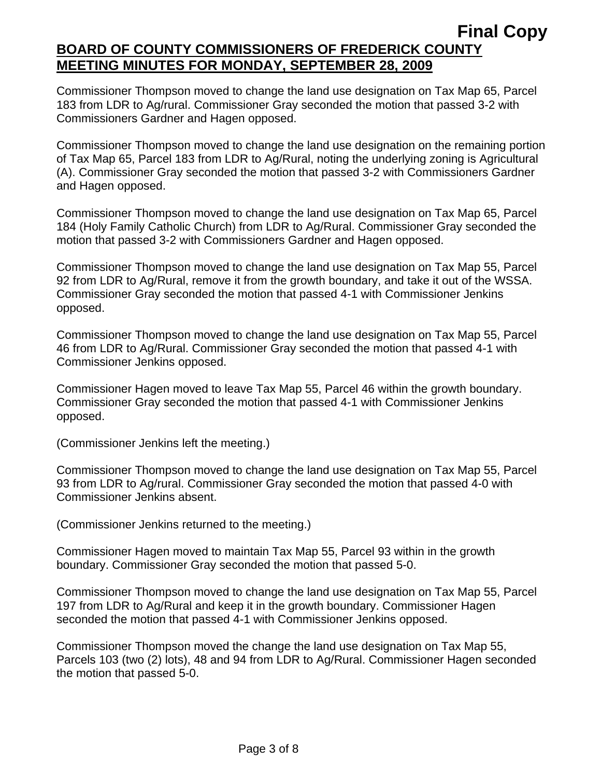Commissioner Thompson moved to change the land use designation on Tax Map 65, Parcel 183 from LDR to Ag/rural. Commissioner Gray seconded the motion that passed 3-2 with Commissioners Gardner and Hagen opposed.

Commissioner Thompson moved to change the land use designation on the remaining portion of Tax Map 65, Parcel 183 from LDR to Ag/Rural, noting the underlying zoning is Agricultural (A). Commissioner Gray seconded the motion that passed 3-2 with Commissioners Gardner and Hagen opposed.

Commissioner Thompson moved to change the land use designation on Tax Map 65, Parcel 184 (Holy Family Catholic Church) from LDR to Ag/Rural. Commissioner Gray seconded the motion that passed 3-2 with Commissioners Gardner and Hagen opposed.

Commissioner Thompson moved to change the land use designation on Tax Map 55, Parcel 92 from LDR to Ag/Rural, remove it from the growth boundary, and take it out of the WSSA. Commissioner Gray seconded the motion that passed 4-1 with Commissioner Jenkins opposed.

Commissioner Thompson moved to change the land use designation on Tax Map 55, Parcel 46 from LDR to Ag/Rural. Commissioner Gray seconded the motion that passed 4-1 with Commissioner Jenkins opposed.

Commissioner Hagen moved to leave Tax Map 55, Parcel 46 within the growth boundary. Commissioner Gray seconded the motion that passed 4-1 with Commissioner Jenkins opposed.

(Commissioner Jenkins left the meeting.)

Commissioner Thompson moved to change the land use designation on Tax Map 55, Parcel 93 from LDR to Ag/rural. Commissioner Gray seconded the motion that passed 4-0 with Commissioner Jenkins absent.

(Commissioner Jenkins returned to the meeting.)

Commissioner Hagen moved to maintain Tax Map 55, Parcel 93 within in the growth boundary. Commissioner Gray seconded the motion that passed 5-0.

Commissioner Thompson moved to change the land use designation on Tax Map 55, Parcel 197 from LDR to Ag/Rural and keep it in the growth boundary. Commissioner Hagen seconded the motion that passed 4-1 with Commissioner Jenkins opposed.

Commissioner Thompson moved the change the land use designation on Tax Map 55, Parcels 103 (two (2) lots), 48 and 94 from LDR to Ag/Rural. Commissioner Hagen seconded the motion that passed 5-0.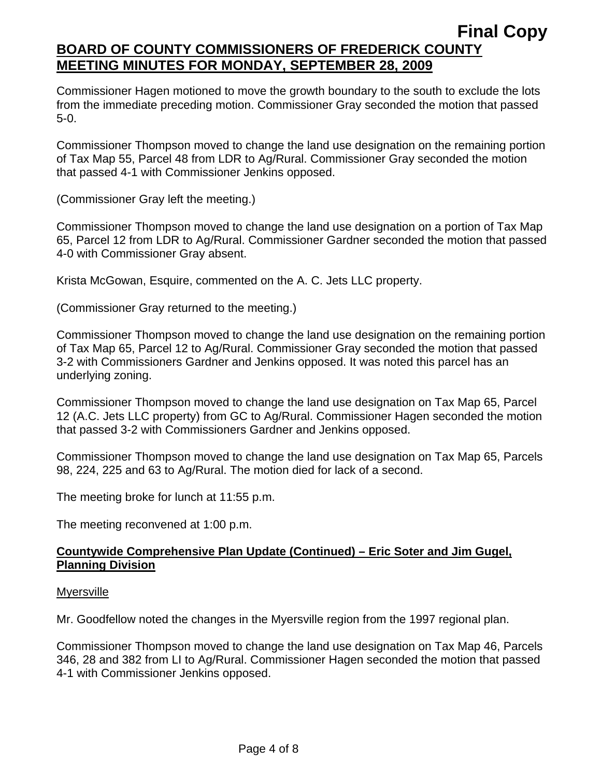Commissioner Hagen motioned to move the growth boundary to the south to exclude the lots from the immediate preceding motion. Commissioner Gray seconded the motion that passed 5-0.

Commissioner Thompson moved to change the land use designation on the remaining portion of Tax Map 55, Parcel 48 from LDR to Ag/Rural. Commissioner Gray seconded the motion that passed 4-1 with Commissioner Jenkins opposed.

(Commissioner Gray left the meeting.)

Commissioner Thompson moved to change the land use designation on a portion of Tax Map 65, Parcel 12 from LDR to Ag/Rural. Commissioner Gardner seconded the motion that passed 4-0 with Commissioner Gray absent.

Krista McGowan, Esquire, commented on the A. C. Jets LLC property.

(Commissioner Gray returned to the meeting.)

Commissioner Thompson moved to change the land use designation on the remaining portion of Tax Map 65, Parcel 12 to Ag/Rural. Commissioner Gray seconded the motion that passed 3-2 with Commissioners Gardner and Jenkins opposed. It was noted this parcel has an underlying zoning.

Commissioner Thompson moved to change the land use designation on Tax Map 65, Parcel 12 (A.C. Jets LLC property) from GC to Ag/Rural. Commissioner Hagen seconded the motion that passed 3-2 with Commissioners Gardner and Jenkins opposed.

Commissioner Thompson moved to change the land use designation on Tax Map 65, Parcels 98, 224, 225 and 63 to Ag/Rural. The motion died for lack of a second.

The meeting broke for lunch at 11:55 p.m.

The meeting reconvened at 1:00 p.m.

## **Countywide Comprehensive Plan Update (Continued) – Eric Soter and Jim Gugel, Planning Division**

### Myersville

Mr. Goodfellow noted the changes in the Myersville region from the 1997 regional plan.

Commissioner Thompson moved to change the land use designation on Tax Map 46, Parcels 346, 28 and 382 from LI to Ag/Rural. Commissioner Hagen seconded the motion that passed 4-1 with Commissioner Jenkins opposed.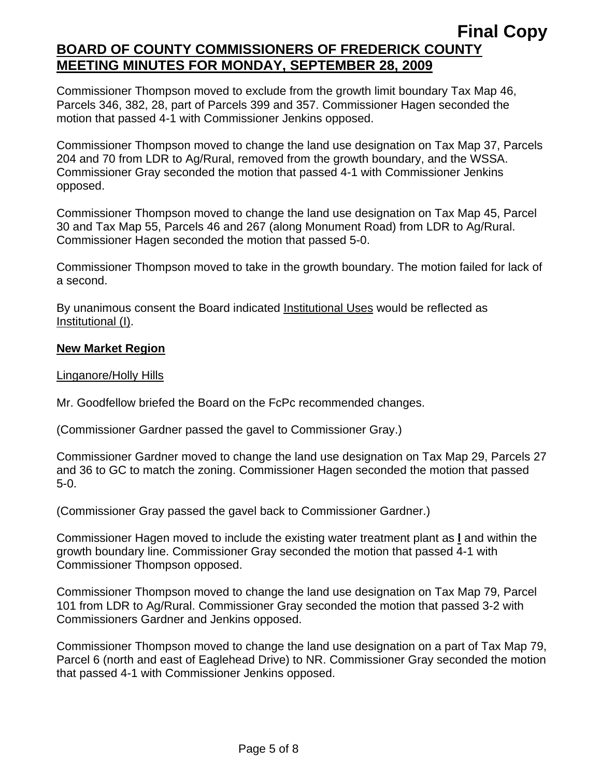Commissioner Thompson moved to exclude from the growth limit boundary Tax Map 46, Parcels 346, 382, 28, part of Parcels 399 and 357. Commissioner Hagen seconded the motion that passed 4-1 with Commissioner Jenkins opposed.

Commissioner Thompson moved to change the land use designation on Tax Map 37, Parcels 204 and 70 from LDR to Ag/Rural, removed from the growth boundary, and the WSSA. Commissioner Gray seconded the motion that passed 4-1 with Commissioner Jenkins opposed.

Commissioner Thompson moved to change the land use designation on Tax Map 45, Parcel 30 and Tax Map 55, Parcels 46 and 267 (along Monument Road) from LDR to Ag/Rural. Commissioner Hagen seconded the motion that passed 5-0.

Commissioner Thompson moved to take in the growth boundary. The motion failed for lack of a second.

By unanimous consent the Board indicated Institutional Uses would be reflected as Institutional (I).

## **New Market Region**

## Linganore/Holly Hills

Mr. Goodfellow briefed the Board on the FcPc recommended changes.

(Commissioner Gardner passed the gavel to Commissioner Gray.)

Commissioner Gardner moved to change the land use designation on Tax Map 29, Parcels 27 and 36 to GC to match the zoning. Commissioner Hagen seconded the motion that passed 5-0.

(Commissioner Gray passed the gavel back to Commissioner Gardner.)

Commissioner Hagen moved to include the existing water treatment plant as **l** and within the growth boundary line. Commissioner Gray seconded the motion that passed 4-1 with Commissioner Thompson opposed.

Commissioner Thompson moved to change the land use designation on Tax Map 79, Parcel 101 from LDR to Ag/Rural. Commissioner Gray seconded the motion that passed 3-2 with Commissioners Gardner and Jenkins opposed.

Commissioner Thompson moved to change the land use designation on a part of Tax Map 79, Parcel 6 (north and east of Eaglehead Drive) to NR. Commissioner Gray seconded the motion that passed 4-1 with Commissioner Jenkins opposed.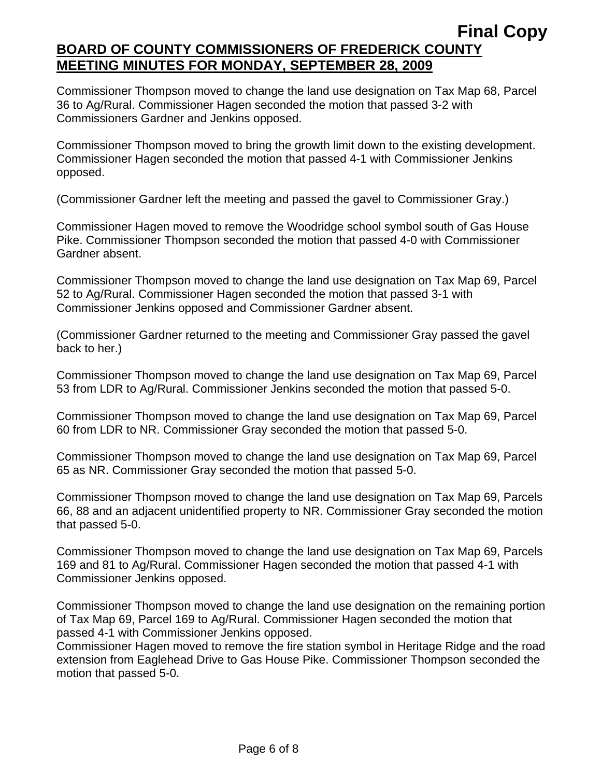Commissioner Thompson moved to change the land use designation on Tax Map 68, Parcel 36 to Ag/Rural. Commissioner Hagen seconded the motion that passed 3-2 with Commissioners Gardner and Jenkins opposed.

Commissioner Thompson moved to bring the growth limit down to the existing development. Commissioner Hagen seconded the motion that passed 4-1 with Commissioner Jenkins opposed.

(Commissioner Gardner left the meeting and passed the gavel to Commissioner Gray.)

Commissioner Hagen moved to remove the Woodridge school symbol south of Gas House Pike. Commissioner Thompson seconded the motion that passed 4-0 with Commissioner Gardner absent.

Commissioner Thompson moved to change the land use designation on Tax Map 69, Parcel 52 to Ag/Rural. Commissioner Hagen seconded the motion that passed 3-1 with Commissioner Jenkins opposed and Commissioner Gardner absent.

(Commissioner Gardner returned to the meeting and Commissioner Gray passed the gavel back to her.)

Commissioner Thompson moved to change the land use designation on Tax Map 69, Parcel 53 from LDR to Ag/Rural. Commissioner Jenkins seconded the motion that passed 5-0.

Commissioner Thompson moved to change the land use designation on Tax Map 69, Parcel 60 from LDR to NR. Commissioner Gray seconded the motion that passed 5-0.

Commissioner Thompson moved to change the land use designation on Tax Map 69, Parcel 65 as NR. Commissioner Gray seconded the motion that passed 5-0.

Commissioner Thompson moved to change the land use designation on Tax Map 69, Parcels 66, 88 and an adjacent unidentified property to NR. Commissioner Gray seconded the motion that passed 5-0.

Commissioner Thompson moved to change the land use designation on Tax Map 69, Parcels 169 and 81 to Ag/Rural. Commissioner Hagen seconded the motion that passed 4-1 with Commissioner Jenkins opposed.

Commissioner Thompson moved to change the land use designation on the remaining portion of Tax Map 69, Parcel 169 to Ag/Rural. Commissioner Hagen seconded the motion that passed 4-1 with Commissioner Jenkins opposed.

Commissioner Hagen moved to remove the fire station symbol in Heritage Ridge and the road extension from Eaglehead Drive to Gas House Pike. Commissioner Thompson seconded the motion that passed 5-0.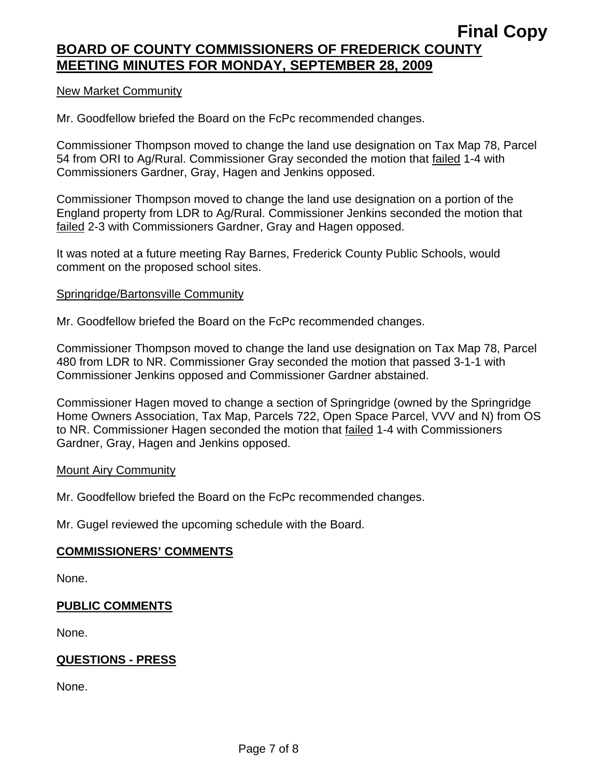### New Market Community

Mr. Goodfellow briefed the Board on the FcPc recommended changes.

Commissioner Thompson moved to change the land use designation on Tax Map 78, Parcel 54 from ORI to Ag/Rural. Commissioner Gray seconded the motion that failed 1-4 with Commissioners Gardner, Gray, Hagen and Jenkins opposed.

Commissioner Thompson moved to change the land use designation on a portion of the England property from LDR to Ag/Rural. Commissioner Jenkins seconded the motion that failed 2-3 with Commissioners Gardner, Gray and Hagen opposed.

It was noted at a future meeting Ray Barnes, Frederick County Public Schools, would comment on the proposed school sites.

### Springridge/Bartonsville Community

Mr. Goodfellow briefed the Board on the FcPc recommended changes.

Commissioner Thompson moved to change the land use designation on Tax Map 78, Parcel 480 from LDR to NR. Commissioner Gray seconded the motion that passed 3-1-1 with Commissioner Jenkins opposed and Commissioner Gardner abstained.

Commissioner Hagen moved to change a section of Springridge (owned by the Springridge Home Owners Association, Tax Map, Parcels 722, Open Space Parcel, VVV and N) from OS to NR. Commissioner Hagen seconded the motion that failed 1-4 with Commissioners Gardner, Gray, Hagen and Jenkins opposed.

### Mount Airy Community

Mr. Goodfellow briefed the Board on the FcPc recommended changes.

Mr. Gugel reviewed the upcoming schedule with the Board.

### **COMMISSIONERS' COMMENTS**

None.

## **PUBLIC COMMENTS**

None.

## **QUESTIONS - PRESS**

None.